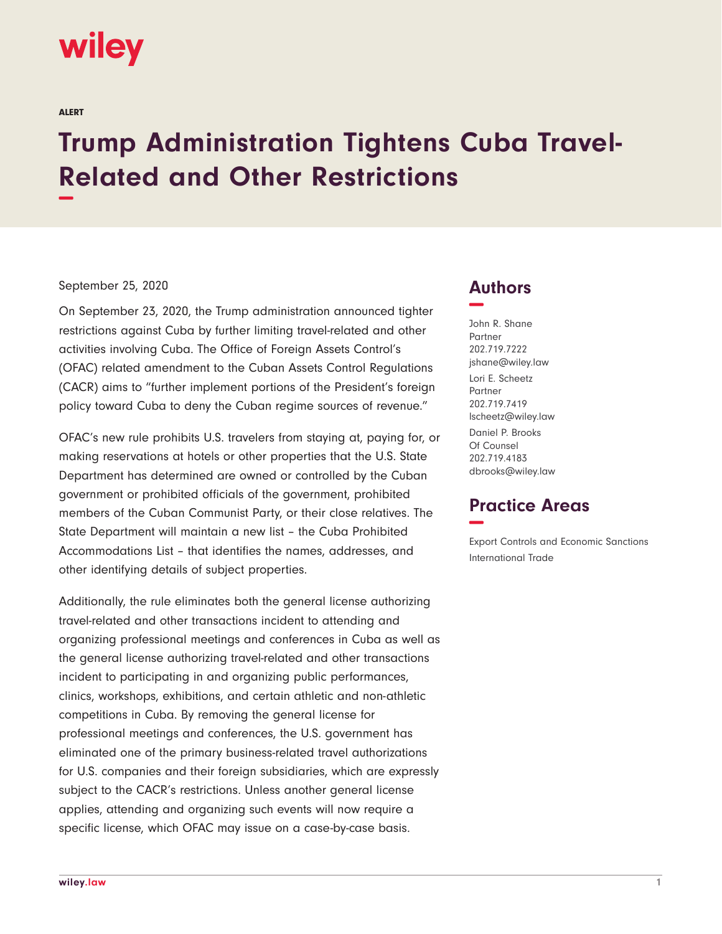# wiley

ALERT

# **Trump Administration Tightens Cuba Travel-Related and Other Restrictions −**

#### September 25, 2020

On September 23, 2020, the Trump administration announced tighter restrictions against Cuba by further limiting travel-related and other activities involving Cuba. The Office of Foreign Assets Control's (OFAC) related amendment to the Cuban Assets Control Regulations (CACR) aims to "further implement portions of the President's foreign policy toward Cuba to deny the Cuban regime sources of revenue."

OFAC's new rule prohibits U.S. travelers from staying at, paying for, or making reservations at hotels or other properties that the U.S. State Department has determined are owned or controlled by the Cuban government or prohibited officials of the government, prohibited members of the Cuban Communist Party, or their close relatives. The State Department will maintain a new list – the Cuba Prohibited Accommodations List – that identifies the names, addresses, and other identifying details of subject properties.

Additionally, the rule eliminates both the general license authorizing travel-related and other transactions incident to attending and organizing professional meetings and conferences in Cuba as well as the general license authorizing travel-related and other transactions incident to participating in and organizing public performances, clinics, workshops, exhibitions, and certain athletic and non-athletic competitions in Cuba. By removing the general license for professional meetings and conferences, the U.S. government has eliminated one of the primary business-related travel authorizations for U.S. companies and their foreign subsidiaries, which are expressly subject to the CACR's restrictions. Unless another general license applies, attending and organizing such events will now require a specific license, which OFAC may issue on a case-by-case basis.

### **Authors −**

John R. Shane Partner 202.719.7222 jshane@wiley.law Lori E. Scheetz Partner 202.719.7419 lscheetz@wiley.law Daniel P. Brooks Of Counsel 202.719.4183 dbrooks@wiley.law

## **Practice Areas −**

Export Controls and Economic Sanctions International Trade